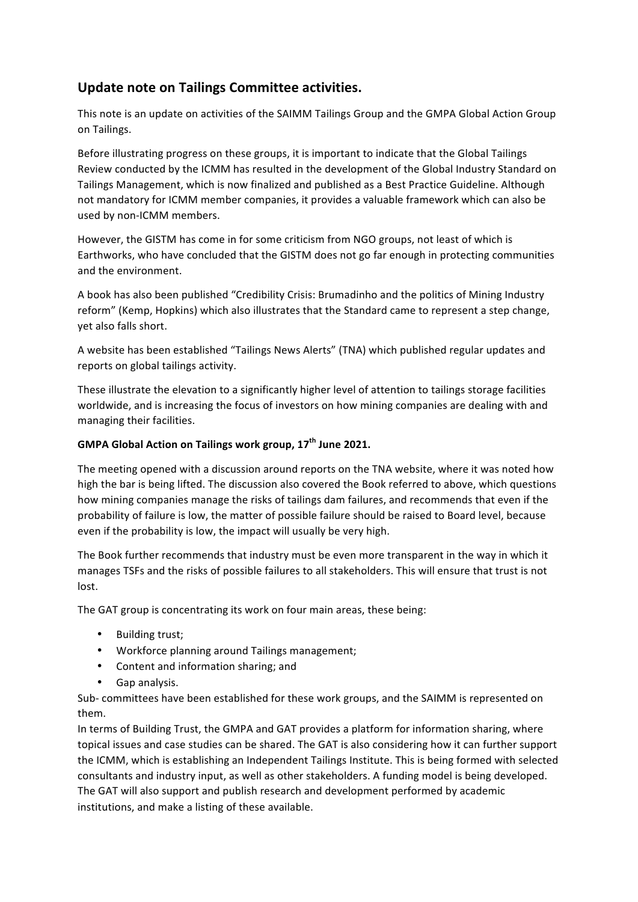## **Update note on Tailings Committee activities.**

This note is an update on activities of the SAIMM Tailings Group and the GMPA Global Action Group on Tailings.

Before illustrating progress on these groups, it is important to indicate that the Global Tailings Review conducted by the ICMM has resulted in the development of the Global Industry Standard on Tailings Management, which is now finalized and published as a Best Practice Guideline. Although not mandatory for ICMM member companies, it provides a valuable framework which can also be used by non-ICMM members.

However, the GISTM has come in for some criticism from NGO groups, not least of which is Earthworks, who have concluded that the GISTM does not go far enough in protecting communities and the environment.

A book has also been published "Credibility Crisis: Brumadinho and the politics of Mining Industry reform" (Kemp, Hopkins) which also illustrates that the Standard came to represent a step change, yet also falls short.

A website has been established "Tailings News Alerts" (TNA) which published regular updates and reports on global tailings activity.

These illustrate the elevation to a significantly higher level of attention to tailings storage facilities worldwide, and is increasing the focus of investors on how mining companies are dealing with and managing their facilities.

## **GMPA Global Action on Tailings work group, 17th June 2021.**

The meeting opened with a discussion around reports on the TNA website, where it was noted how high the bar is being lifted. The discussion also covered the Book referred to above, which questions how mining companies manage the risks of tailings dam failures, and recommends that even if the probability of failure is low, the matter of possible failure should be raised to Board level, because even if the probability is low, the impact will usually be very high.

The Book further recommends that industry must be even more transparent in the way in which it manages TSFs and the risks of possible failures to all stakeholders. This will ensure that trust is not lost.

The GAT group is concentrating its work on four main areas, these being:

- Building trust;
- Workforce planning around Tailings management;
- Content and information sharing; and
- Gap analysis.

Sub- committees have been established for these work groups, and the SAIMM is represented on them.

In terms of Building Trust, the GMPA and GAT provides a platform for information sharing, where topical issues and case studies can be shared. The GAT is also considering how it can further support the ICMM, which is establishing an Independent Tailings Institute. This is being formed with selected consultants and industry input, as well as other stakeholders. A funding model is being developed. The GAT will also support and publish research and development performed by academic institutions, and make a listing of these available.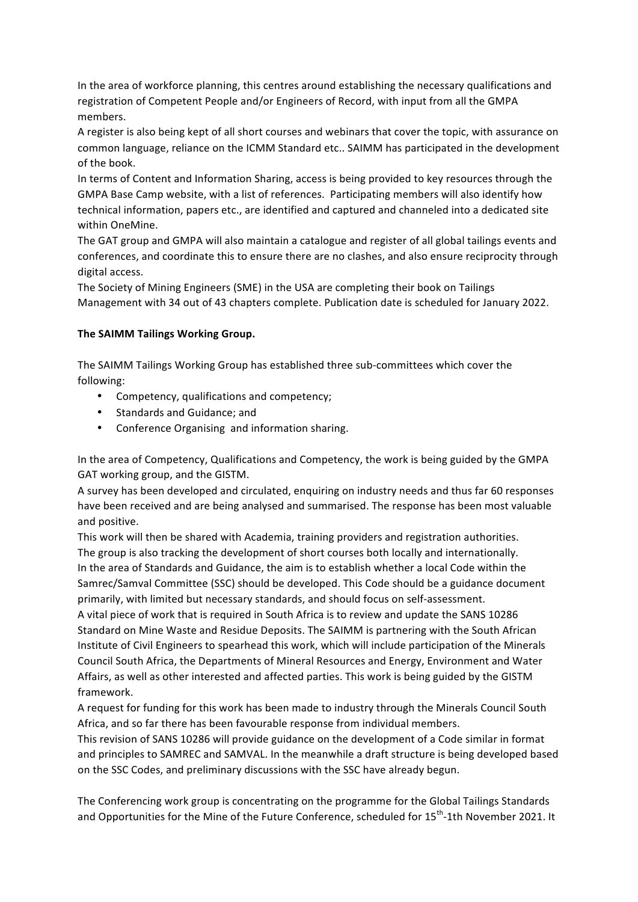In the area of workforce planning, this centres around establishing the necessary qualifications and registration of Competent People and/or Engineers of Record, with input from all the GMPA members.

A register is also being kept of all short courses and webinars that cover the topic, with assurance on common language, reliance on the ICMM Standard etc.. SAIMM has participated in the development of the book.

In terms of Content and Information Sharing, access is being provided to key resources through the GMPA Base Camp website, with a list of references. Participating members will also identify how technical information, papers etc., are identified and captured and channeled into a dedicated site within OneMine.

The GAT group and GMPA will also maintain a catalogue and register of all global tailings events and conferences, and coordinate this to ensure there are no clashes, and also ensure reciprocity through digital access.

The Society of Mining Engineers (SME) in the USA are completing their book on Tailings Management with 34 out of 43 chapters complete. Publication date is scheduled for January 2022.

## **The SAIMM Tailings Working Group.**

The SAIMM Tailings Working Group has established three sub-committees which cover the following:

- Competency, qualifications and competency;
- Standards and Guidance; and
- Conference Organising and information sharing.

In the area of Competency, Qualifications and Competency, the work is being guided by the GMPA GAT working group, and the GISTM.

A survey has been developed and circulated, enquiring on industry needs and thus far 60 responses have been received and are being analysed and summarised. The response has been most valuable and positive.

This work will then be shared with Academia, training providers and registration authorities. The group is also tracking the development of short courses both locally and internationally. In the area of Standards and Guidance, the aim is to establish whether a local Code within the Samrec/Samval Committee (SSC) should be developed. This Code should be a guidance document primarily, with limited but necessary standards, and should focus on self-assessment.

A vital piece of work that is required in South Africa is to review and update the SANS 10286 Standard on Mine Waste and Residue Deposits. The SAIMM is partnering with the South African Institute of Civil Engineers to spearhead this work, which will include participation of the Minerals Council South Africa, the Departments of Mineral Resources and Energy, Environment and Water Affairs, as well as other interested and affected parties. This work is being guided by the GISTM framework.

A request for funding for this work has been made to industry through the Minerals Council South Africa, and so far there has been favourable response from individual members.

This revision of SANS 10286 will provide guidance on the development of a Code similar in format and principles to SAMREC and SAMVAL. In the meanwhile a draft structure is being developed based on the SSC Codes, and preliminary discussions with the SSC have already begun.

The Conferencing work group is concentrating on the programme for the Global Tailings Standards and Opportunities for the Mine of the Future Conference, scheduled for 15<sup>th</sup>-1th November 2021. It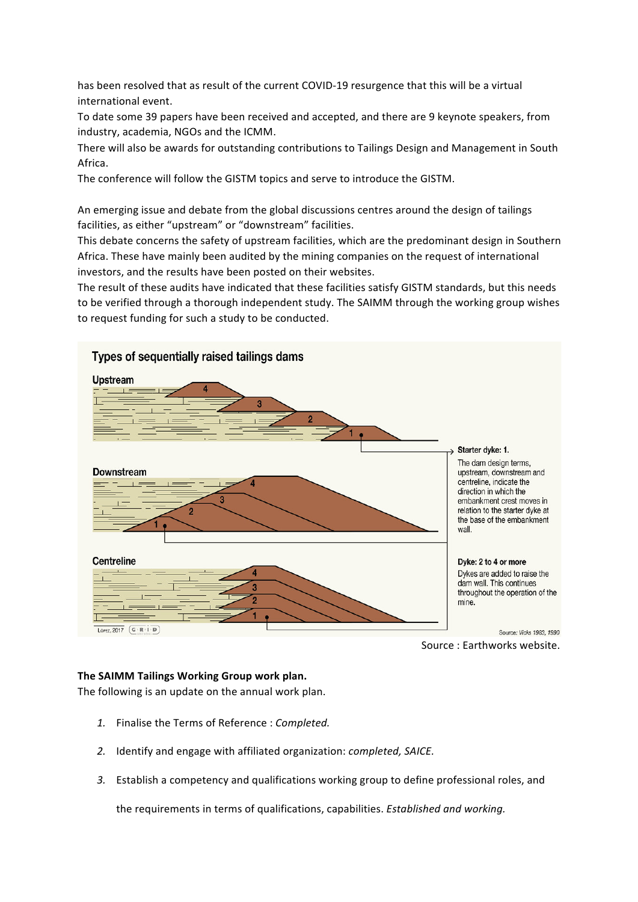has been resolved that as result of the current COVID-19 resurgence that this will be a virtual international event.

To date some 39 papers have been received and accepted, and there are 9 keynote speakers, from industry, academia, NGOs and the ICMM.

There will also be awards for outstanding contributions to Tailings Design and Management in South Africa.

The conference will follow the GISTM topics and serve to introduce the GISTM.

An emerging issue and debate from the global discussions centres around the design of tailings facilities, as either "upstream" or "downstream" facilities.

This debate concerns the safety of upstream facilities, which are the predominant design in Southern Africa. These have mainly been audited by the mining companies on the request of international investors, and the results have been posted on their websites.

The result of these audits have indicated that these facilities satisfy GISTM standards, but this needs to be verified through a thorough independent study. The SAIMM through the working group wishes to request funding for such a study to be conducted.



**The SAIMM Tailings Working Group work plan.**

The following is an update on the annual work plan.

- *1.* Finalise the Terms of Reference : *Completed.*
- *2.* Identify and engage with affiliated organization: *completed, SAICE.*
- *3.* Establish a competency and qualifications working group to define professional roles, and

the requirements in terms of qualifications, capabilities. *Established and working.*